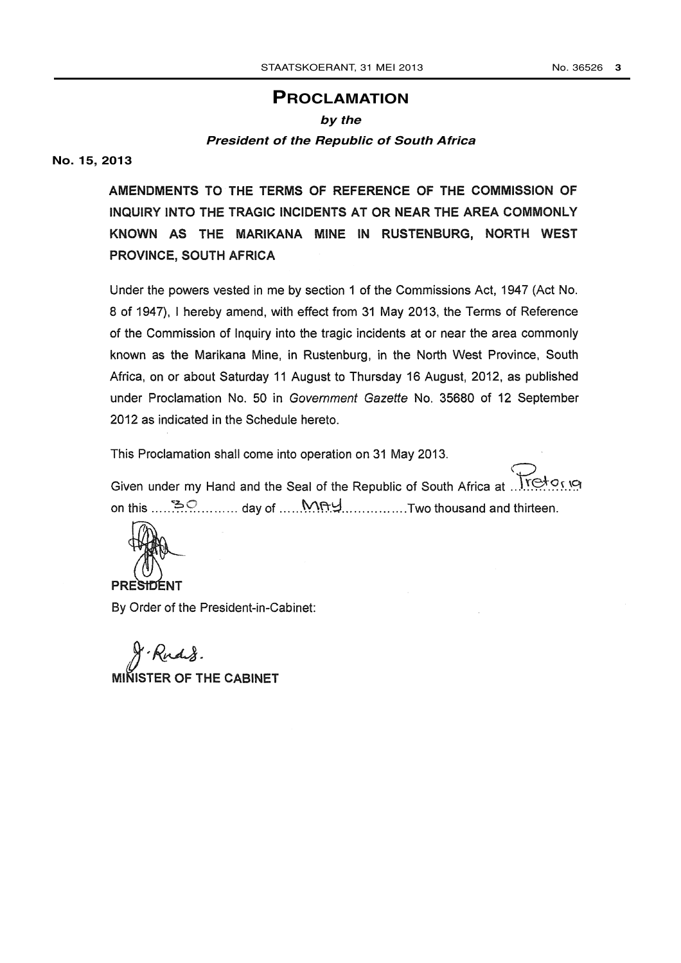# **PROCLAMATION**

# **by the President of the Republic of South Africa**

**No. 15, 2013**

AMENDMENTS TO THE TERMS OF REFERENCE OF THE COMMISSION OF INQUIRY INTO THE TRAGIC INCIDENTS AT OR NEAR THE AREA COMMONLY KNOWN AS THE MARIKANA MINE IN RUSTENBURG, NORTH WEST PROVINCE, SOUTH AFRICA

Under the powers vested in me by section 1 of the Commissions Act, 1947 (Act No. 8 of 1947), I hereby amend, with effect from 31 May 2013, the Terms of Reference of the Commission of Inquiry into the tragic incidents at or near the area commonly known as the Marikana Mine, in Rustenburg, in the North West Province, South Africa, on or about Saturday 11 August to Thursday 16 August, 2012, as published under Proclamation No. 50 in Government Gazette No. 35680 of 12 September 2012 as indicated in the Schedule hereto.

This Proclamation shall come into operation on 31 May 2013.

Given under my Hand and the Seal of the Republic of South Africa at 1.1 Textorial on this day of .. 'tJ Two thousand and thirteen.

**PRESIDENT** 

By Order of the President-in-Cabinet:

 $f$  - Rudos.

**MINISTER OF THE CABINET**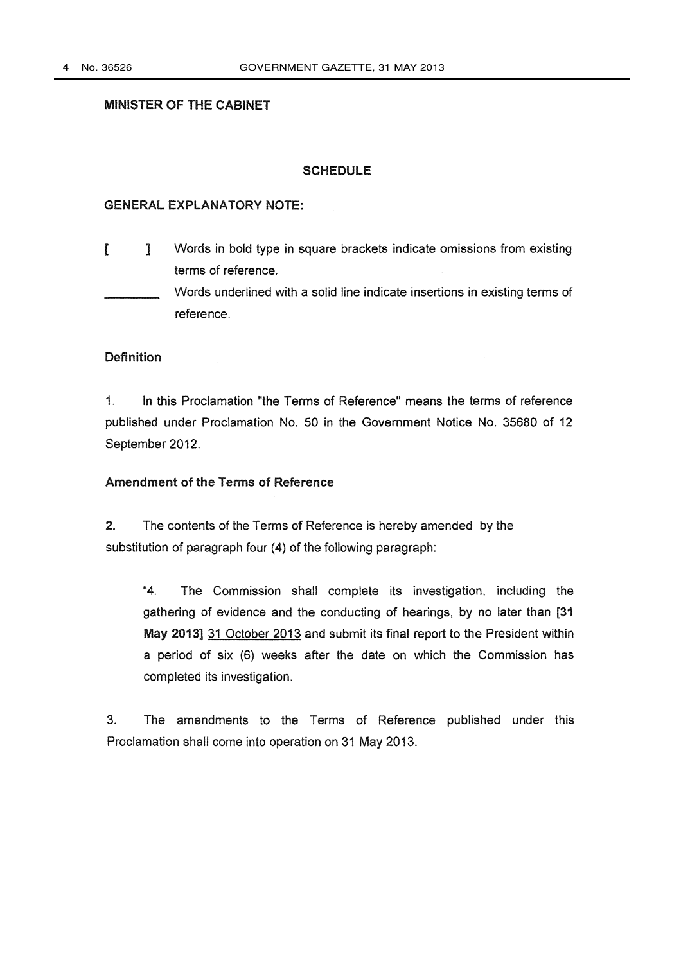#### MINISTER OF THE CABINET

#### **SCHEDULE**

#### GENERAL EXPLANATORY NOTE:

 $\blacksquare$ Words in bold type in square brackets indicate omissions from existing  $\mathbf{r}$ terms of reference,

Words underlined with a solid line indicate insertions in existing terms of reference.

#### **Definition**

1. In this Proclamation "the Terms of Reference" means the terms of reference published under Proclamation No. 50 in the Government Notice No. 35680 of 12 September 2012.

#### Amendment of the Terms of Reference

2. The contents of the Terms of Reference is hereby amended by the substitution of paragraph four (4) of the following paragraph:

"4. The Commission shall complete its investigation, including the gathering of evidence and the conducting of hearings, by no later than [31 May 2013] 31 October 2013 and submit its final report to the President within a period of six (6) weeks after the date on which the Commission has completed its investigation.

3. The amendments to the Terms of Reference published under this Proclamation shall come into operation on 31 May 2013.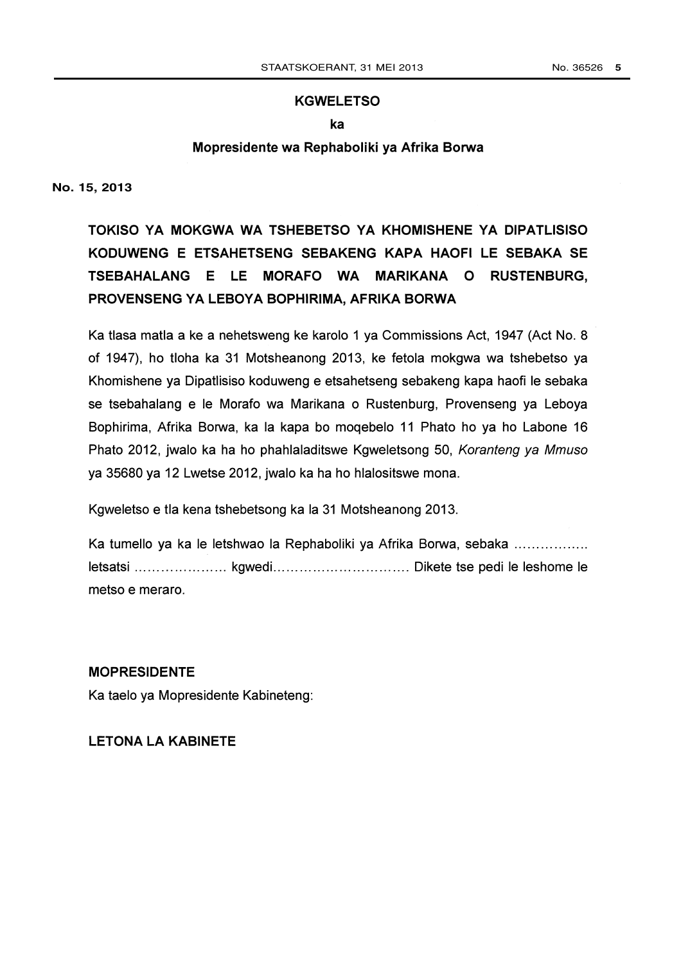#### **KGWELETSO**

#### ka

#### Mopresidente wa Rephaboliki ya Afrika Borwa

 $P$ , 2013 **No. 15, 2013**

> TOKISO YA MOKGWA WA TSHEBETSO YA KHOMISHENE YA DIPATLISISO KODUWENG E ETSAHETSENG SEBAKENG KAPA HAOFI LE SEBAKA SE TSEBAHALANG <sup>E</sup> LE MORAFO WA MARIKANA 0 RUSTENBURG, PROVENSENG YA LEBOYA BOPHIRIMA, AFRIKA BORWA

> Ka tiasa matla a ke a nehetsweng ke karolo 1 ya Commissions Act, 1947 (Act No. 8 of 1947), ho tioha ka 31 Motsheanong 2013, ke fetola mokgwa wa tshebetso ya Khomishene ya Dipatlisiso koduweng e etsahetseng sebakeng kapa haofi le sebaka se tsebahalang e le Morafo wa Marikana o Rustenburg, Provenseng ya Leboya Bophirima, Afrika Borwa, ka Ia kapa bo moqebelo 11 Phato ho ya ho Labone 16 Phato 2012, jwalo ka ha ho phahlaladitswe Kgweletsong 50, Koranteng ya Mmuso ya 35680 ya 12 Lwetse 2012, jwalo ka ha ho hlalositswe mona.

Kgweletso e tia kena tshebetsong ka Ia 31 Motsheanong 2013.

Ka tumello ya ka le Ietshwao Ia Rephaboliki ya Afrika Borwa, sebaka letsatsi kgwedi Dikete tse pedi le leshome le metso e meraro.

### MOPRESIDENTE

Ka taelo ya Mopresidente Kabineteng:

LETONA LA KABINETE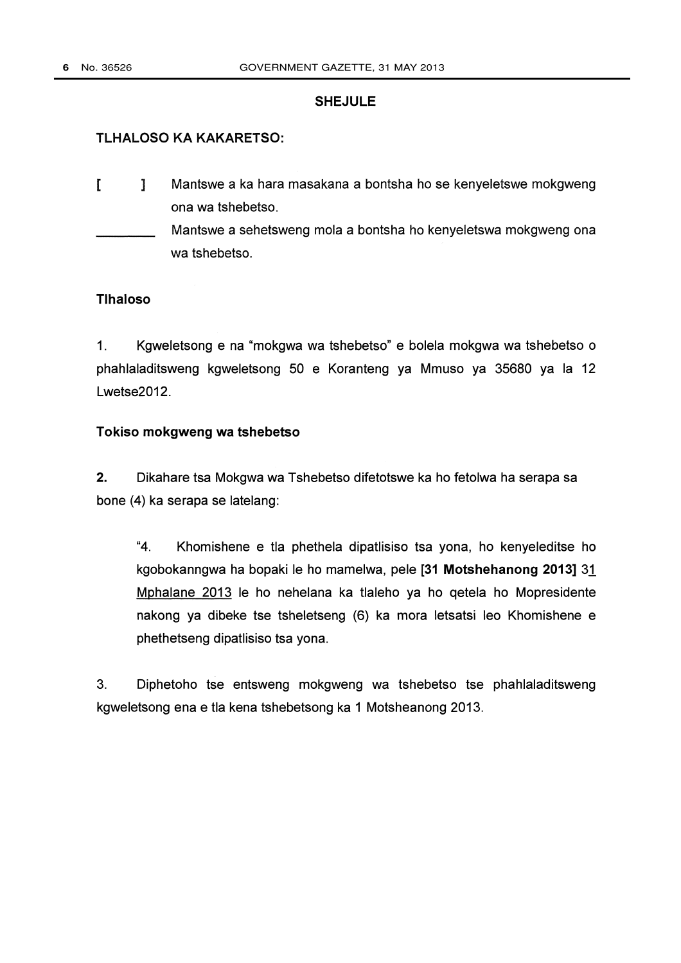#### SHEJULE

#### TLHALOSO KA KAKARETSO:

 $\blacksquare$ Mantswe a ka hara masakana a bontsha ho se kenyeletswe mokgweng ona wa tshebetso. Mantswe a sehetsweng mola a bontsha ho kenyeletswa mokgweng ona wa tshebetso.

#### Tihaloso

1. Kgweletsong e na "mokgwa wa tshebetso" e bolela mokgwa wa tshebetso o phahlaladitsweng kgweletsong 50 e Koranteng ya Mmuso ya 35680 ya la 12 Lwetse2012.

#### Tokiso mokgweng wa tshebetso

2. Dikahare tsa Mokgwa wa Tshebetso difetotswe ka ho fetolwa ha serapa sa bone (4) ka serapa se latelang:

"4. Khomishene e tla phethela dipatlisiso tsa yona, ho kenyeleditse ho kgobokanngwa ha bopaki le ho mameiwa, pele [31 Motshehanong 2013] 31 Mphalane 2013 le ho nehelana ka tlaleho ya ho qetela ho Mopresidente nakong ya dibeke tse tsheletseng (6) ka mora letsatsi leo Khomishene e phethetseng dipatlisiso tsa yona.

3. Diphetoho tse entsweng mokgweng wa tshebetso tse phahlaladitsweng kgweletsong ena e tla kena tshebetsong ka 1 Motsheanong 2013.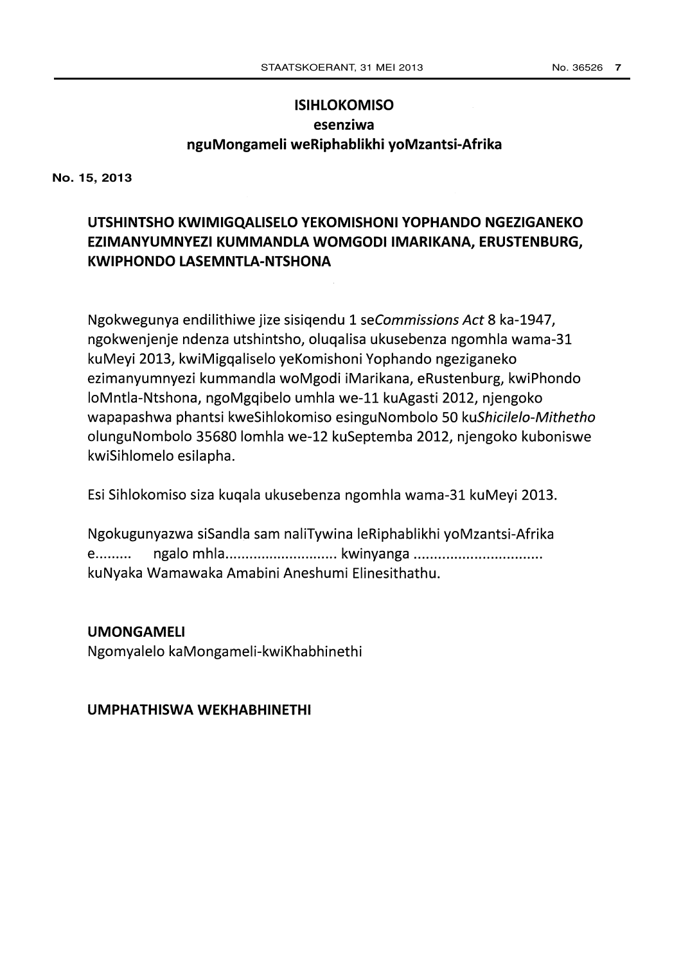# ISIHLOKOMISO esenziwa nguMongameli weRiphablikhi yoMzantsi-Afrika

 $e_5$ , 2013 **No. 15, 2013**

# UTSHINTSHO KWIMIGQALISELO YEKOMISHONI YOPHANDO NGEZIGANEKO EZIMANYUMNYEZI KUMMANDLA WOMGODI IMARIKANA, ERUSTENBURG, KWIPHONDO LASEMNTLA-NTSHONA

Ngokwegunya endilithiwe jize sisiqendu 1 seCommissions Act 8 ka-1947, ngokwenjenje ndenza utshintsho, oluqalisa ukusebenza ngomhla wama-31 kuMeyi 2013, kwiMigqaliselo yeKomishoni Yophando ngeziganeko ezimanyumnyezi kummandla woMgodi iMarikana, eRustenburg, kwiPhondo IoMntla- Ntshona, ngoMgqibelo umhla we-11 kuAgasti 2012, njengoko wapapashwa phantsi kweSihlokomiso esinguNombolo 50 kuShicilelo-Mithetho olunguNombolo 35680 Iomhla we-12 kuSeptemba 2012, njengoko kuboniswe kwiSihlomelo esilapha.

Esi Sihlokomiso siza kuqala ukusebenza ngomhla wama-31 kuMeyi 2013.

Ngokugunyazwa siSandla sam naliTywina IeRiphablikhi yoMzantsi-Afrika e ngalo mhla kwinyanga kuNyaka Wamawaka Amabini Aneshumi Elinesithathu.

# UMONGAMELI

Ngomyalelo kaMongameli-kwiKhabhinethi

# UMPHATHISWA WEKHABHINETHI